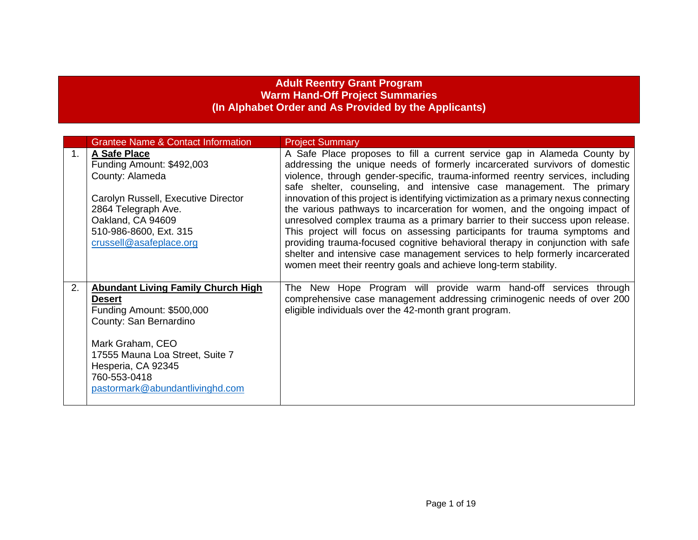## **Adult Reentry Grant Program Warm Hand-Off Project Summaries (In Alphabet Order and As Provided by the Applicants)**

|                | <b>Grantee Name &amp; Contact Information</b>                                                                                                                                                                                                     | <b>Project Summary</b>                                                                                                                                                                                                                                                                                                                                                                                                                                                                                                                                                                                                                                                                                                                                                                                                                                                                     |
|----------------|---------------------------------------------------------------------------------------------------------------------------------------------------------------------------------------------------------------------------------------------------|--------------------------------------------------------------------------------------------------------------------------------------------------------------------------------------------------------------------------------------------------------------------------------------------------------------------------------------------------------------------------------------------------------------------------------------------------------------------------------------------------------------------------------------------------------------------------------------------------------------------------------------------------------------------------------------------------------------------------------------------------------------------------------------------------------------------------------------------------------------------------------------------|
| 1 <sub>1</sub> | A Safe Place<br>Funding Amount: \$492,003<br>County: Alameda<br>Carolyn Russell, Executive Director<br>2864 Telegraph Ave.<br>Oakland, CA 94609<br>510-986-8600, Ext. 315<br>crussell@asafeplace.org                                              | A Safe Place proposes to fill a current service gap in Alameda County by<br>addressing the unique needs of formerly incarcerated survivors of domestic<br>violence, through gender-specific, trauma-informed reentry services, including<br>safe shelter, counseling, and intensive case management. The primary<br>innovation of this project is identifying victimization as a primary nexus connecting<br>the various pathways to incarceration for women, and the ongoing impact of<br>unresolved complex trauma as a primary barrier to their success upon release.<br>This project will focus on assessing participants for trauma symptoms and<br>providing trauma-focused cognitive behavioral therapy in conjunction with safe<br>shelter and intensive case management services to help formerly incarcerated<br>women meet their reentry goals and achieve long-term stability. |
| 2.             | <b>Abundant Living Family Church High</b><br><b>Desert</b><br>Funding Amount: \$500,000<br>County: San Bernardino<br>Mark Graham, CEO<br>17555 Mauna Loa Street, Suite 7<br>Hesperia, CA 92345<br>760-553-0418<br>pastormark@abundantlivinghd.com | The New Hope Program will provide warm hand-off services through<br>comprehensive case management addressing criminogenic needs of over 200<br>eligible individuals over the 42-month grant program.                                                                                                                                                                                                                                                                                                                                                                                                                                                                                                                                                                                                                                                                                       |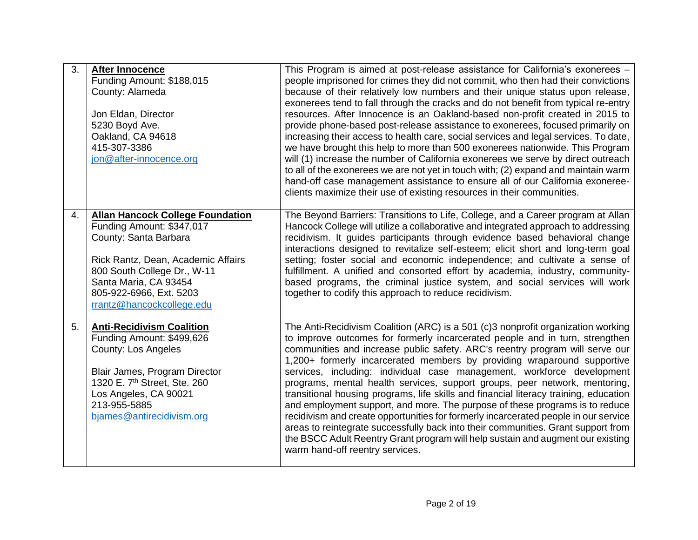| 3. | <b>After Innocence</b><br>Funding Amount: \$188,015<br>County: Alameda<br>Jon Eldan, Director<br>5230 Boyd Ave.<br>Oakland, CA 94618<br>415-307-3386<br>jon@after-innocence.org                                                                     | This Program is aimed at post-release assistance for California's exonerees -<br>people imprisoned for crimes they did not commit, who then had their convictions<br>because of their relatively low numbers and their unique status upon release,<br>exonerees tend to fall through the cracks and do not benefit from typical re-entry<br>resources. After Innocence is an Oakland-based non-profit created in 2015 to<br>provide phone-based post-release assistance to exonerees, focused primarily on<br>increasing their access to health care, social services and legal services. To date,<br>we have brought this help to more than 500 exonerees nationwide. This Program<br>will (1) increase the number of California exonerees we serve by direct outreach<br>to all of the exonerees we are not yet in touch with; (2) expand and maintain warm<br>hand-off case management assistance to ensure all of our California exoneree-<br>clients maximize their use of existing resources in their communities. |
|----|-----------------------------------------------------------------------------------------------------------------------------------------------------------------------------------------------------------------------------------------------------|--------------------------------------------------------------------------------------------------------------------------------------------------------------------------------------------------------------------------------------------------------------------------------------------------------------------------------------------------------------------------------------------------------------------------------------------------------------------------------------------------------------------------------------------------------------------------------------------------------------------------------------------------------------------------------------------------------------------------------------------------------------------------------------------------------------------------------------------------------------------------------------------------------------------------------------------------------------------------------------------------------------------------|
| 4. | <b>Allan Hancock College Foundation</b><br>Funding Amount: \$347,017<br>County: Santa Barbara<br>Rick Rantz, Dean, Academic Affairs<br>800 South College Dr., W-11<br>Santa Maria, CA 93454<br>805-922-6966, Ext. 5203<br>rrantz@hancockcollege.edu | The Beyond Barriers: Transitions to Life, College, and a Career program at Allan<br>Hancock College will utilize a collaborative and integrated approach to addressing<br>recidivism. It guides participants through evidence based behavioral change<br>interactions designed to revitalize self-esteem; elicit short and long-term goal<br>setting; foster social and economic independence; and cultivate a sense of<br>fulfillment. A unified and consorted effort by academia, industry, community-<br>based programs, the criminal justice system, and social services will work<br>together to codify this approach to reduce recidivism.                                                                                                                                                                                                                                                                                                                                                                         |
| 5. | <b>Anti-Recidivism Coalition</b><br>Funding Amount: \$499,626<br><b>County: Los Angeles</b><br>Blair James, Program Director<br>1320 E. 7 <sup>th</sup> Street, Ste. 260<br>Los Angeles, CA 90021<br>213-955-5885<br>bjames@antirecidivism.org      | The Anti-Recidivism Coalition (ARC) is a 501 (c)3 nonprofit organization working<br>to improve outcomes for formerly incarcerated people and in turn, strengthen<br>communities and increase public safety. ARC's reentry program will serve our<br>1,200+ formerly incarcerated members by providing wraparound supportive<br>services, including: individual case management, workforce development<br>programs, mental health services, support groups, peer network, mentoring,<br>transitional housing programs, life skills and financial literacy training, education<br>and employment support, and more. The purpose of these programs is to reduce<br>recidivism and create opportunities for formerly incarcerated people in our service<br>areas to reintegrate successfully back into their communities. Grant support from<br>the BSCC Adult Reentry Grant program will help sustain and augment our existing<br>warm hand-off reentry services.                                                           |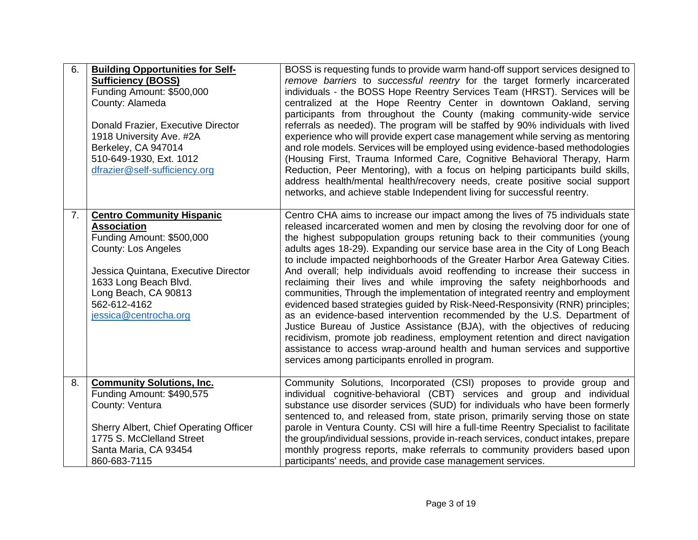| 6. | <b>Building Opportunities for Self-</b><br><b>Sufficiency (BOSS)</b><br>Funding Amount: \$500,000<br>County: Alameda<br>Donald Frazier, Executive Director<br>1918 University Ave. #2A<br>Berkeley, CA 947014<br>510-649-1930, Ext. 1012<br>dfrazier@self-sufficiency.org | BOSS is requesting funds to provide warm hand-off support services designed to<br>remove barriers to successful reentry for the target formerly incarcerated<br>individuals - the BOSS Hope Reentry Services Team (HRST). Services will be<br>centralized at the Hope Reentry Center in downtown Oakland, serving<br>participants from throughout the County (making community-wide service<br>referrals as needed). The program will be staffed by 90% individuals with lived<br>experience who will provide expert case management while serving as mentoring<br>and role models. Services will be employed using evidence-based methodologies<br>(Housing First, Trauma Informed Care, Cognitive Behavioral Therapy, Harm<br>Reduction, Peer Mentoring), with a focus on helping participants build skills,<br>address health/mental health/recovery needs, create positive social support<br>networks, and achieve stable Independent living for successful reentry.                                                                                                                                              |
|----|---------------------------------------------------------------------------------------------------------------------------------------------------------------------------------------------------------------------------------------------------------------------------|-----------------------------------------------------------------------------------------------------------------------------------------------------------------------------------------------------------------------------------------------------------------------------------------------------------------------------------------------------------------------------------------------------------------------------------------------------------------------------------------------------------------------------------------------------------------------------------------------------------------------------------------------------------------------------------------------------------------------------------------------------------------------------------------------------------------------------------------------------------------------------------------------------------------------------------------------------------------------------------------------------------------------------------------------------------------------------------------------------------------------|
| 7. | <b>Centro Community Hispanic</b><br><b>Association</b><br>Funding Amount: \$500,000<br><b>County: Los Angeles</b><br>Jessica Quintana, Executive Director<br>1633 Long Beach Blvd.<br>Long Beach, CA 90813<br>562-612-4162<br>jessica@centrocha.org                       | Centro CHA aims to increase our impact among the lives of 75 individuals state<br>released incarcerated women and men by closing the revolving door for one of<br>the highest subpopulation groups retuning back to their communities (young<br>adults ages 18-29). Expanding our service base area in the City of Long Beach<br>to include impacted neighborhoods of the Greater Harbor Area Gateway Cities.<br>And overall; help individuals avoid reoffending to increase their success in<br>reclaiming their lives and while improving the safety neighborhoods and<br>communities, Through the implementation of integrated reentry and employment<br>evidenced based strategies guided by Risk-Need-Responsivity (RNR) principles;<br>as an evidence-based intervention recommended by the U.S. Department of<br>Justice Bureau of Justice Assistance (BJA), with the objectives of reducing<br>recidivism, promote job readiness, employment retention and direct navigation<br>assistance to access wrap-around health and human services and supportive<br>services among participants enrolled in program. |
| 8. | <b>Community Solutions, Inc.</b><br>Funding Amount: \$490,575<br>County: Ventura<br>Sherry Albert, Chief Operating Officer<br>1775 S. McClelland Street<br>Santa Maria, CA 93454<br>860-683-7115                                                                          | Community Solutions, Incorporated (CSI) proposes to provide group and<br>individual cognitive-behavioral (CBT) services and group and individual<br>substance use disorder services (SUD) for individuals who have been formerly<br>sentenced to, and released from, state prison, primarily serving those on state<br>parole in Ventura County. CSI will hire a full-time Reentry Specialist to facilitate<br>the group/individual sessions, provide in-reach services, conduct intakes, prepare<br>monthly progress reports, make referrals to community providers based upon<br>participants' needs, and provide case management services.                                                                                                                                                                                                                                                                                                                                                                                                                                                                         |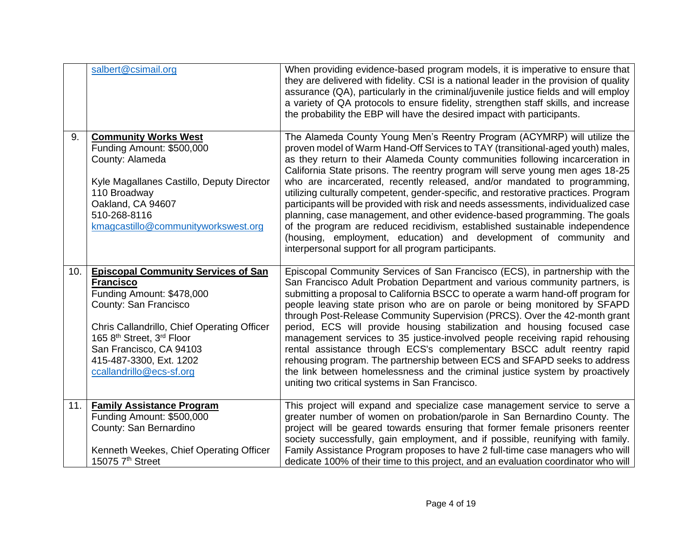|     | salbert@csimail.org                                                                                                                                                                                                                                                                | When providing evidence-based program models, it is imperative to ensure that<br>they are delivered with fidelity. CSI is a national leader in the provision of quality<br>assurance (QA), particularly in the criminal/juvenile justice fields and will employ<br>a variety of QA protocols to ensure fidelity, strengthen staff skills, and increase<br>the probability the EBP will have the desired impact with participants.                                                                                                                                                                                                                                                                                                                                                                                                                                              |
|-----|------------------------------------------------------------------------------------------------------------------------------------------------------------------------------------------------------------------------------------------------------------------------------------|--------------------------------------------------------------------------------------------------------------------------------------------------------------------------------------------------------------------------------------------------------------------------------------------------------------------------------------------------------------------------------------------------------------------------------------------------------------------------------------------------------------------------------------------------------------------------------------------------------------------------------------------------------------------------------------------------------------------------------------------------------------------------------------------------------------------------------------------------------------------------------|
| 9.  | <b>Community Works West</b><br>Funding Amount: \$500,000<br>County: Alameda<br>Kyle Magallanes Castillo, Deputy Director<br>110 Broadway<br>Oakland, CA 94607<br>510-268-8116<br>kmagcastillo@communityworkswest.org                                                               | The Alameda County Young Men's Reentry Program (ACYMRP) will utilize the<br>proven model of Warm Hand-Off Services to TAY (transitional-aged youth) males,<br>as they return to their Alameda County communities following incarceration in<br>California State prisons. The reentry program will serve young men ages 18-25<br>who are incarcerated, recently released, and/or mandated to programming,<br>utilizing culturally competent, gender-specific, and restorative practices. Program<br>participants will be provided with risk and needs assessments, individualized case<br>planning, case management, and other evidence-based programming. The goals<br>of the program are reduced recidivism, established sustainable independence<br>(housing, employment, education) and development of community and<br>interpersonal support for all program participants. |
| 10. | <b>Episcopal Community Services of San</b><br><b>Francisco</b><br>Funding Amount: \$478,000<br>County: San Francisco<br>Chris Callandrillo, Chief Operating Officer<br>165 8th Street, 3rd Floor<br>San Francisco, CA 94103<br>415-487-3300, Ext. 1202<br>ccallandrillo@ecs-sf.org | Episcopal Community Services of San Francisco (ECS), in partnership with the<br>San Francisco Adult Probation Department and various community partners, is<br>submitting a proposal to California BSCC to operate a warm hand-off program for<br>people leaving state prison who are on parole or being monitored by SFAPD<br>through Post-Release Community Supervision (PRCS). Over the 42-month grant<br>period, ECS will provide housing stabilization and housing focused case<br>management services to 35 justice-involved people receiving rapid rehousing<br>rental assistance through ECS's complementary BSCC adult reentry rapid<br>rehousing program. The partnership between ECS and SFAPD seeks to address<br>the link between homelessness and the criminal justice system by proactively<br>uniting two critical systems in San Francisco.                   |
| 11. | <b>Family Assistance Program</b><br>Funding Amount: \$500,000<br>County: San Bernardino<br>Kenneth Weekes, Chief Operating Officer<br>15075 7th Street                                                                                                                             | This project will expand and specialize case management service to serve a<br>greater number of women on probation/parole in San Bernardino County. The<br>project will be geared towards ensuring that former female prisoners reenter<br>society successfully, gain employment, and if possible, reunifying with family.<br>Family Assistance Program proposes to have 2 full-time case managers who will<br>dedicate 100% of their time to this project, and an evaluation coordinator who will                                                                                                                                                                                                                                                                                                                                                                             |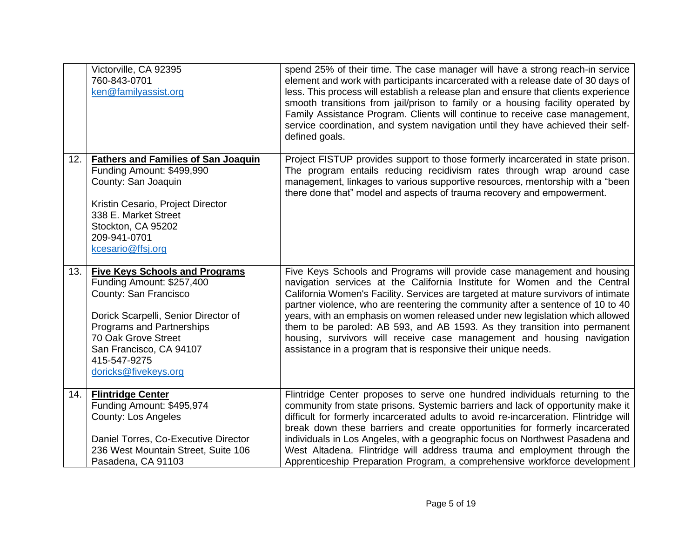|     | Victorville, CA 92395<br>760-843-0701<br>ken@familyassist.org                                                                                                                                                                                              | spend 25% of their time. The case manager will have a strong reach-in service<br>element and work with participants incarcerated with a release date of 30 days of<br>less. This process will establish a release plan and ensure that clients experience<br>smooth transitions from jail/prison to family or a housing facility operated by<br>Family Assistance Program. Clients will continue to receive case management,<br>service coordination, and system navigation until they have achieved their self-<br>defined goals.                                                                                                       |
|-----|------------------------------------------------------------------------------------------------------------------------------------------------------------------------------------------------------------------------------------------------------------|------------------------------------------------------------------------------------------------------------------------------------------------------------------------------------------------------------------------------------------------------------------------------------------------------------------------------------------------------------------------------------------------------------------------------------------------------------------------------------------------------------------------------------------------------------------------------------------------------------------------------------------|
| 12. | <b>Fathers and Families of San Joaquin</b><br>Funding Amount: \$499,990<br>County: San Joaquin<br>Kristin Cesario, Project Director<br>338 E. Market Street<br>Stockton, CA 95202<br>209-941-0701<br>kcesario@ffsj.org                                     | Project FISTUP provides support to those formerly incarcerated in state prison.<br>The program entails reducing recidivism rates through wrap around case<br>management, linkages to various supportive resources, mentorship with a "been<br>there done that" model and aspects of trauma recovery and empowerment.                                                                                                                                                                                                                                                                                                                     |
| 13. | <b>Five Keys Schools and Programs</b><br>Funding Amount: \$257,400<br>County: San Francisco<br>Dorick Scarpelli, Senior Director of<br>Programs and Partnerships<br>70 Oak Grove Street<br>San Francisco, CA 94107<br>415-547-9275<br>doricks@fivekeys.org | Five Keys Schools and Programs will provide case management and housing<br>navigation services at the California Institute for Women and the Central<br>California Women's Facility. Services are targeted at mature survivors of intimate<br>partner violence, who are reentering the community after a sentence of 10 to 40<br>years, with an emphasis on women released under new legislation which allowed<br>them to be paroled: AB 593, and AB 1593. As they transition into permanent<br>housing, survivors will receive case management and housing navigation<br>assistance in a program that is responsive their unique needs. |
| 14. | <b>Flintridge Center</b><br>Funding Amount: \$495,974<br><b>County: Los Angeles</b><br>Daniel Torres, Co-Executive Director<br>236 West Mountain Street, Suite 106<br>Pasadena, CA 91103                                                                   | Flintridge Center proposes to serve one hundred individuals returning to the<br>community from state prisons. Systemic barriers and lack of opportunity make it<br>difficult for formerly incarcerated adults to avoid re-incarceration. Flintridge will<br>break down these barriers and create opportunities for formerly incarcerated<br>individuals in Los Angeles, with a geographic focus on Northwest Pasadena and<br>West Altadena. Flintridge will address trauma and employment through the<br>Apprenticeship Preparation Program, a comprehensive workforce development                                                       |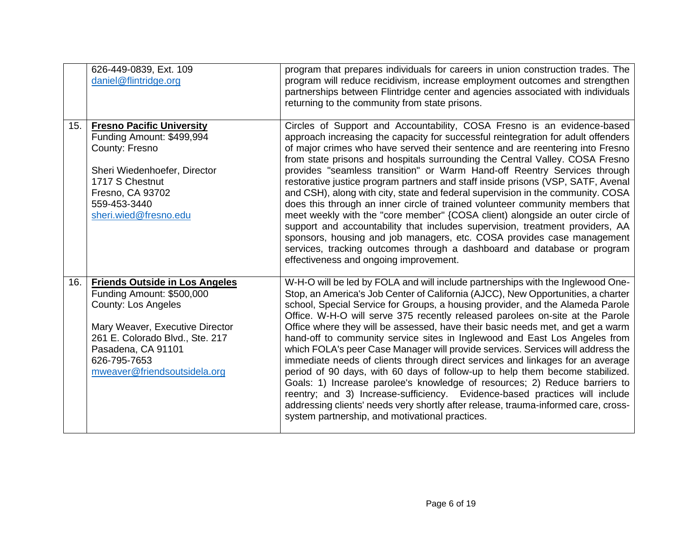|     | 626-449-0839, Ext. 109<br>daniel@flintridge.org                                                                                                                                                                                              | program that prepares individuals for careers in union construction trades. The<br>program will reduce recidivism, increase employment outcomes and strengthen<br>partnerships between Flintridge center and agencies associated with individuals<br>returning to the community from state prisons.                                                                                                                                                                                                                                                                                                                                                                                                                                                                                                                                                                                                                                                                                                                                                               |
|-----|----------------------------------------------------------------------------------------------------------------------------------------------------------------------------------------------------------------------------------------------|-------------------------------------------------------------------------------------------------------------------------------------------------------------------------------------------------------------------------------------------------------------------------------------------------------------------------------------------------------------------------------------------------------------------------------------------------------------------------------------------------------------------------------------------------------------------------------------------------------------------------------------------------------------------------------------------------------------------------------------------------------------------------------------------------------------------------------------------------------------------------------------------------------------------------------------------------------------------------------------------------------------------------------------------------------------------|
| 15. | <b>Fresno Pacific University</b><br>Funding Amount: \$499,994<br>County: Fresno<br>Sheri Wiedenhoefer, Director<br>1717 S Chestnut<br>Fresno, CA 93702<br>559-453-3440<br>sheri.wied@fresno.edu                                              | Circles of Support and Accountability, COSA Fresno is an evidence-based<br>approach increasing the capacity for successful reintegration for adult offenders<br>of major crimes who have served their sentence and are reentering into Fresno<br>from state prisons and hospitals surrounding the Central Valley. COSA Fresno<br>provides "seamless transition" or Warm Hand-off Reentry Services through<br>restorative justice program partners and staff inside prisons (VSP, SATF, Avenal<br>and CSH), along with city, state and federal supervision in the community. COSA<br>does this through an inner circle of trained volunteer community members that<br>meet weekly with the "core member" {COSA client) alongside an outer circle of<br>support and accountability that includes supervision, treatment providers, AA<br>sponsors, housing and job managers, etc. COSA provides case management<br>services, tracking outcomes through a dashboard and database or program<br>effectiveness and ongoing improvement.                                |
| 16. | <b>Friends Outside in Los Angeles</b><br>Funding Amount: \$500,000<br><b>County: Los Angeles</b><br>Mary Weaver, Executive Director<br>261 E. Colorado Blvd., Ste. 217<br>Pasadena, CA 91101<br>626-795-7653<br>mweaver@friendsoutsidela.org | W-H-O will be led by FOLA and will include partnerships with the Inglewood One-<br>Stop, an America's Job Center of California (AJCC), New Opportunities, a charter<br>school, Special Service for Groups, a housing provider, and the Alameda Parole<br>Office. W-H-O will serve 375 recently released parolees on-site at the Parole<br>Office where they will be assessed, have their basic needs met, and get a warm<br>hand-off to community service sites in Inglewood and East Los Angeles from<br>which FOLA's peer Case Manager will provide services. Services will address the<br>immediate needs of clients through direct services and linkages for an average<br>period of 90 days, with 60 days of follow-up to help them become stabilized.<br>Goals: 1) Increase parolee's knowledge of resources; 2) Reduce barriers to<br>reentry; and 3) Increase-sufficiency. Evidence-based practices will include<br>addressing clients' needs very shortly after release, trauma-informed care, cross-<br>system partnership, and motivational practices. |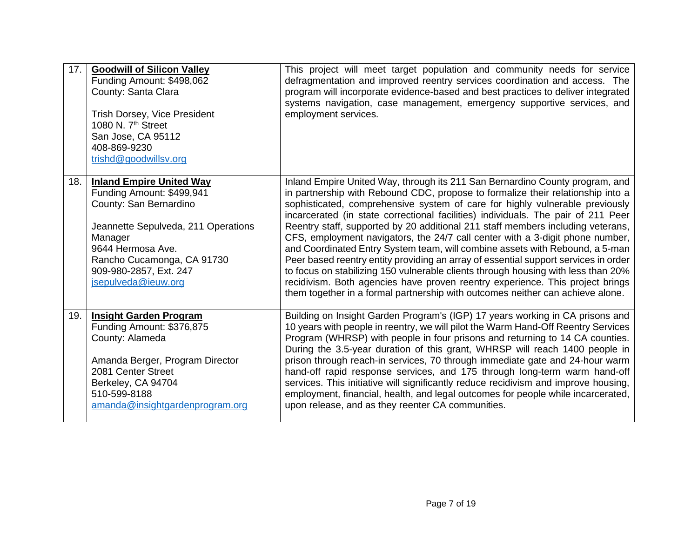| 17. | <b>Goodwill of Silicon Valley</b><br>Funding Amount: \$498,062<br>County: Santa Clara<br><b>Trish Dorsey, Vice President</b><br>1080 N. 7 <sup>th</sup> Street<br>San Jose, CA 95112<br>408-869-9230<br>trishd@goodwillsv.org                | This project will meet target population and community needs for service<br>defragmentation and improved reentry services coordination and access. The<br>program will incorporate evidence-based and best practices to deliver integrated<br>systems navigation, case management, emergency supportive services, and<br>employment services.                                                                                                                                                                                                                                                                                                                                                                                                                                                                                                                                                                                           |
|-----|----------------------------------------------------------------------------------------------------------------------------------------------------------------------------------------------------------------------------------------------|-----------------------------------------------------------------------------------------------------------------------------------------------------------------------------------------------------------------------------------------------------------------------------------------------------------------------------------------------------------------------------------------------------------------------------------------------------------------------------------------------------------------------------------------------------------------------------------------------------------------------------------------------------------------------------------------------------------------------------------------------------------------------------------------------------------------------------------------------------------------------------------------------------------------------------------------|
| 18. | <b>Inland Empire United Way</b><br>Funding Amount: \$499,941<br>County: San Bernardino<br>Jeannette Sepulveda, 211 Operations<br>Manager<br>9644 Hermosa Ave.<br>Rancho Cucamonga, CA 91730<br>909-980-2857, Ext. 247<br>jsepulveda@ieuw.org | Inland Empire United Way, through its 211 San Bernardino County program, and<br>in partnership with Rebound CDC, propose to formalize their relationship into a<br>sophisticated, comprehensive system of care for highly vulnerable previously<br>incarcerated (in state correctional facilities) individuals. The pair of 211 Peer<br>Reentry staff, supported by 20 additional 211 staff members including veterans,<br>CFS, employment navigators, the 24/7 call center with a 3-digit phone number,<br>and Coordinated Entry System team, will combine assets with Rebound, a 5-man<br>Peer based reentry entity providing an array of essential support services in order<br>to focus on stabilizing 150 vulnerable clients through housing with less than 20%<br>recidivism. Both agencies have proven reentry experience. This project brings<br>them together in a formal partnership with outcomes neither can achieve alone. |
| 19. | <b>Insight Garden Program</b><br>Funding Amount: \$376,875<br>County: Alameda<br>Amanda Berger, Program Director<br>2081 Center Street<br>Berkeley, CA 94704<br>510-599-8188<br>amanda@insightgardenprogram.org                              | Building on Insight Garden Program's (IGP) 17 years working in CA prisons and<br>10 years with people in reentry, we will pilot the Warm Hand-Off Reentry Services<br>Program (WHRSP) with people in four prisons and returning to 14 CA counties.<br>During the 3.5-year duration of this grant, WHRSP will reach 1400 people in<br>prison through reach-in services, 70 through immediate gate and 24-hour warm<br>hand-off rapid response services, and 175 through long-term warm hand-off<br>services. This initiative will significantly reduce recidivism and improve housing,<br>employment, financial, health, and legal outcomes for people while incarcerated,<br>upon release, and as they reenter CA communities.                                                                                                                                                                                                          |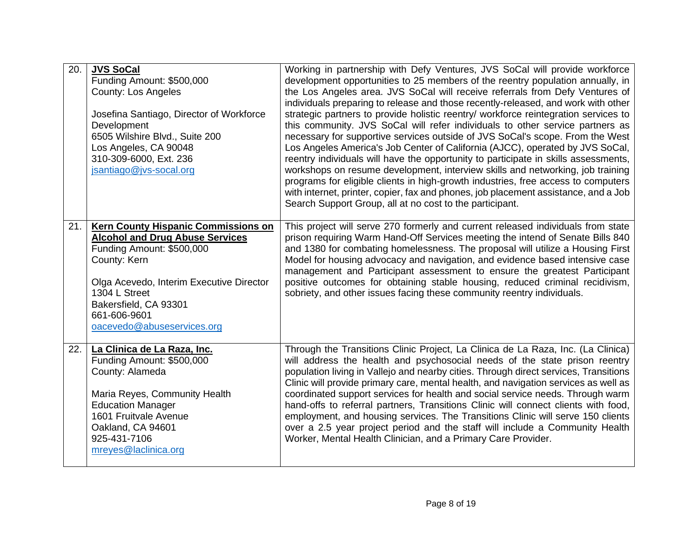| 20. | <b>JVS SoCal</b><br>Funding Amount: \$500,000<br><b>County: Los Angeles</b><br>Josefina Santiago, Director of Workforce<br>Development<br>6505 Wilshire Blvd., Suite 200<br>Los Angeles, CA 90048<br>310-309-6000, Ext. 236<br>jsantiago@jvs-socal.org                | Working in partnership with Defy Ventures, JVS SoCal will provide workforce<br>development opportunities to 25 members of the reentry population annually, in<br>the Los Angeles area. JVS SoCal will receive referrals from Defy Ventures of<br>individuals preparing to release and those recently-released, and work with other<br>strategic partners to provide holistic reentry/ workforce reintegration services to<br>this community. JVS SoCal will refer individuals to other service partners as<br>necessary for supportive services outside of JVS SoCal's scope. From the West<br>Los Angeles America's Job Center of California (AJCC), operated by JVS SoCal,<br>reentry individuals will have the opportunity to participate in skills assessments,<br>workshops on resume development, interview skills and networking, job training |
|-----|-----------------------------------------------------------------------------------------------------------------------------------------------------------------------------------------------------------------------------------------------------------------------|-------------------------------------------------------------------------------------------------------------------------------------------------------------------------------------------------------------------------------------------------------------------------------------------------------------------------------------------------------------------------------------------------------------------------------------------------------------------------------------------------------------------------------------------------------------------------------------------------------------------------------------------------------------------------------------------------------------------------------------------------------------------------------------------------------------------------------------------------------|
|     |                                                                                                                                                                                                                                                                       | programs for eligible clients in high-growth industries, free access to computers<br>with internet, printer, copier, fax and phones, job placement assistance, and a Job<br>Search Support Group, all at no cost to the participant.                                                                                                                                                                                                                                                                                                                                                                                                                                                                                                                                                                                                                  |
| 21. | <b>Kern County Hispanic Commissions on</b><br><b>Alcohol and Drug Abuse Services</b><br>Funding Amount: \$500,000<br>County: Kern<br>Olga Acevedo, Interim Executive Director<br>1304 L Street<br>Bakersfield, CA 93301<br>661-606-9601<br>oacevedo@abuseservices.org | This project will serve 270 formerly and current released individuals from state<br>prison requiring Warm Hand-Off Services meeting the intend of Senate Bills 840<br>and 1380 for combating homelessness. The proposal will utilize a Housing First<br>Model for housing advocacy and navigation, and evidence based intensive case<br>management and Participant assessment to ensure the greatest Participant<br>positive outcomes for obtaining stable housing, reduced criminal recidivism,<br>sobriety, and other issues facing these community reentry individuals.                                                                                                                                                                                                                                                                            |
| 22. | La Clinica de La Raza, Inc.<br>Funding Amount: \$500,000<br>County: Alameda<br>Maria Reyes, Community Health<br><b>Education Manager</b><br>1601 Fruitvale Avenue<br>Oakland, CA 94601<br>925-431-7106<br>mreyes@laclinica.org                                        | Through the Transitions Clinic Project, La Clinica de La Raza, Inc. (La Clinica)<br>will address the health and psychosocial needs of the state prison reentry<br>population living in Vallejo and nearby cities. Through direct services, Transitions<br>Clinic will provide primary care, mental health, and navigation services as well as<br>coordinated support services for health and social service needs. Through warm<br>hand-offs to referral partners, Transitions Clinic will connect clients with food,<br>employment, and housing services. The Transitions Clinic will serve 150 clients<br>over a 2.5 year project period and the staff will include a Community Health<br>Worker, Mental Health Clinician, and a Primary Care Provider.                                                                                             |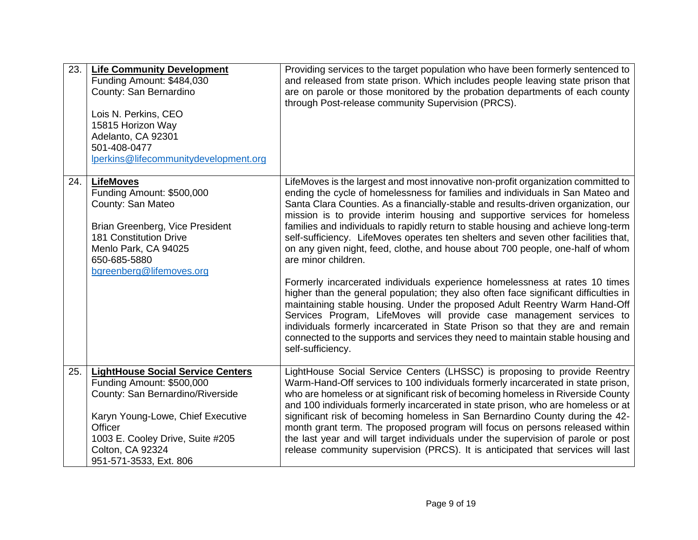| 23. | <b>Life Community Development</b><br>Funding Amount: \$484,030<br>County: San Bernardino<br>Lois N. Perkins, CEO<br>15815 Horizon Way<br>Adelanto, CA 92301<br>501-408-0477<br>lperkins@lifecommunitydevelopment.org                               | Providing services to the target population who have been formerly sentenced to<br>and released from state prison. Which includes people leaving state prison that<br>are on parole or those monitored by the probation departments of each county<br>through Post-release community Supervision (PRCS).                                                                                                                                                                                                                                                                                                                                                                        |
|-----|----------------------------------------------------------------------------------------------------------------------------------------------------------------------------------------------------------------------------------------------------|---------------------------------------------------------------------------------------------------------------------------------------------------------------------------------------------------------------------------------------------------------------------------------------------------------------------------------------------------------------------------------------------------------------------------------------------------------------------------------------------------------------------------------------------------------------------------------------------------------------------------------------------------------------------------------|
| 24. | <b>LifeMoves</b><br>Funding Amount: \$500,000<br>County: San Mateo<br>Brian Greenberg, Vice President<br><b>181 Constitution Drive</b><br>Menlo Park, CA 94025<br>650-685-5880<br>bgreenberg@lifemoves.org                                         | LifeMoves is the largest and most innovative non-profit organization committed to<br>ending the cycle of homelessness for families and individuals in San Mateo and<br>Santa Clara Counties. As a financially-stable and results-driven organization, our<br>mission is to provide interim housing and supportive services for homeless<br>families and individuals to rapidly return to stable housing and achieve long-term<br>self-sufficiency. LifeMoves operates ten shelters and seven other facilities that,<br>on any given night, feed, clothe, and house about 700 people, one-half of whom<br>are minor children.                                                    |
|     |                                                                                                                                                                                                                                                    | Formerly incarcerated individuals experience homelessness at rates 10 times<br>higher than the general population; they also often face significant difficulties in<br>maintaining stable housing. Under the proposed Adult Reentry Warm Hand-Off<br>Services Program, LifeMoves will provide case management services to<br>individuals formerly incarcerated in State Prison so that they are and remain<br>connected to the supports and services they need to maintain stable housing and<br>self-sufficiency.                                                                                                                                                              |
| 25. | <b>LightHouse Social Service Centers</b><br>Funding Amount: \$500,000<br>County: San Bernardino/Riverside<br>Karyn Young-Lowe, Chief Executive<br>Officer<br>1003 E. Cooley Drive, Suite #205<br><b>Colton, CA 92324</b><br>951-571-3533, Ext. 806 | LightHouse Social Service Centers (LHSSC) is proposing to provide Reentry<br>Warm-Hand-Off services to 100 individuals formerly incarcerated in state prison,<br>who are homeless or at significant risk of becoming homeless in Riverside County<br>and 100 individuals formerly incarcerated in state prison, who are homeless or at<br>significant risk of becoming homeless in San Bernardino County during the 42-<br>month grant term. The proposed program will focus on persons released within<br>the last year and will target individuals under the supervision of parole or post<br>release community supervision (PRCS). It is anticipated that services will last |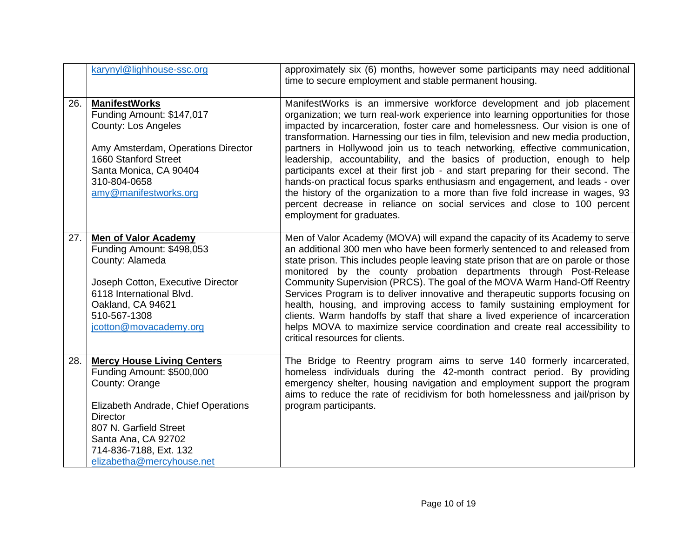|     | karynyl@lighhouse-ssc.org                                                                                                                                                                                                                          | approximately six (6) months, however some participants may need additional<br>time to secure employment and stable permanent housing.                                                                                                                                                                                                                                                                                                                                                                                                                                                                                                                                                                                                                                                                                                                    |
|-----|----------------------------------------------------------------------------------------------------------------------------------------------------------------------------------------------------------------------------------------------------|-----------------------------------------------------------------------------------------------------------------------------------------------------------------------------------------------------------------------------------------------------------------------------------------------------------------------------------------------------------------------------------------------------------------------------------------------------------------------------------------------------------------------------------------------------------------------------------------------------------------------------------------------------------------------------------------------------------------------------------------------------------------------------------------------------------------------------------------------------------|
| 26. | <b>ManifestWorks</b><br>Funding Amount: \$147,017<br><b>County: Los Angeles</b><br>Amy Amsterdam, Operations Director<br>1660 Stanford Street<br>Santa Monica, CA 90404<br>310-804-0658<br>amy@manifestworks.org                                   | ManifestWorks is an immersive workforce development and job placement<br>organization; we turn real-work experience into learning opportunities for those<br>impacted by incarceration, foster care and homelessness. Our vision is one of<br>transformation. Harnessing our ties in film, television and new media production,<br>partners in Hollywood join us to teach networking, effective communication,<br>leadership, accountability, and the basics of production, enough to help<br>participants excel at their first job - and start preparing for their second. The<br>hands-on practical focus sparks enthusiasm and engagement, and leads - over<br>the history of the organization to a more than five fold increase in wages, 93<br>percent decrease in reliance on social services and close to 100 percent<br>employment for graduates. |
| 27. | <b>Men of Valor Academy</b><br>Funding Amount: \$498,053<br>County: Alameda<br>Joseph Cotton, Executive Director<br>6118 International Blvd.<br>Oakland, CA 94621<br>510-567-1308<br>jcotton@movacademy.org                                        | Men of Valor Academy (MOVA) will expand the capacity of its Academy to serve<br>an additional 300 men who have been formerly sentenced to and released from<br>state prison. This includes people leaving state prison that are on parole or those<br>monitored by the county probation departments through Post-Release<br>Community Supervision (PRCS). The goal of the MOVA Warm Hand-Off Reentry<br>Services Program is to deliver innovative and therapeutic supports focusing on<br>health, housing, and improving access to family sustaining employment for<br>clients. Warm handoffs by staff that share a lived experience of incarceration<br>helps MOVA to maximize service coordination and create real accessibility to<br>critical resources for clients.                                                                                  |
| 28. | <b>Mercy House Living Centers</b><br>Funding Amount: \$500,000<br>County: Orange<br>Elizabeth Andrade, Chief Operations<br><b>Director</b><br>807 N. Garfield Street<br>Santa Ana, CA 92702<br>714-836-7188, Ext. 132<br>elizabetha@mercyhouse.net | The Bridge to Reentry program aims to serve 140 formerly incarcerated,<br>homeless individuals during the 42-month contract period. By providing<br>emergency shelter, housing navigation and employment support the program<br>aims to reduce the rate of recidivism for both homelessness and jail/prison by<br>program participants.                                                                                                                                                                                                                                                                                                                                                                                                                                                                                                                   |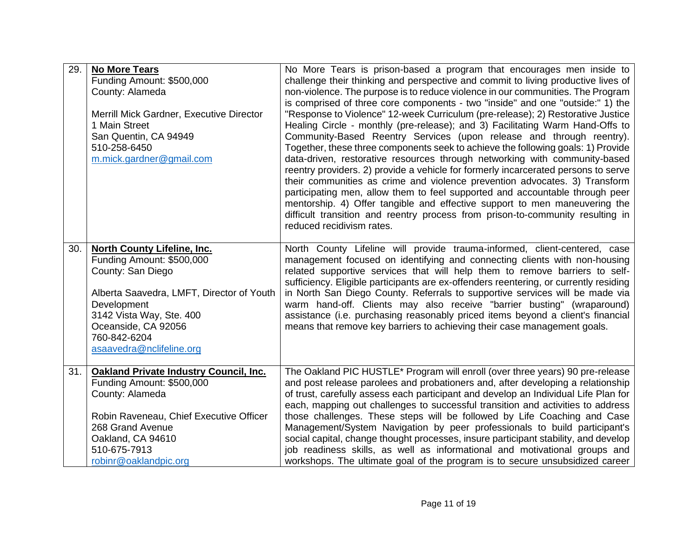| 29. | <b>No More Tears</b><br>Funding Amount: \$500,000<br>County: Alameda<br>Merrill Mick Gardner, Executive Director<br>1 Main Street<br>San Quentin, CA 94949<br>510-258-6450<br>m.mick.gardner@gmail.com                                          | No More Tears is prison-based a program that encourages men inside to<br>challenge their thinking and perspective and commit to living productive lives of<br>non-violence. The purpose is to reduce violence in our communities. The Program<br>is comprised of three core components - two "inside" and one "outside:" 1) the<br>"Response to Violence" 12-week Curriculum (pre-release); 2) Restorative Justice<br>Healing Circle - monthly (pre-release); and 3) Facilitating Warm Hand-Offs to<br>Community-Based Reentry Services (upon release and through reentry).<br>Together, these three components seek to achieve the following goals: 1) Provide<br>data-driven, restorative resources through networking with community-based<br>reentry providers. 2) provide a vehicle for formerly incarcerated persons to serve<br>their communities as crime and violence prevention advocates. 3) Transform<br>participating men, allow them to feel supported and accountable through peer<br>mentorship. 4) Offer tangible and effective support to men maneuvering the<br>difficult transition and reentry process from prison-to-community resulting in<br>reduced recidivism rates. |
|-----|-------------------------------------------------------------------------------------------------------------------------------------------------------------------------------------------------------------------------------------------------|------------------------------------------------------------------------------------------------------------------------------------------------------------------------------------------------------------------------------------------------------------------------------------------------------------------------------------------------------------------------------------------------------------------------------------------------------------------------------------------------------------------------------------------------------------------------------------------------------------------------------------------------------------------------------------------------------------------------------------------------------------------------------------------------------------------------------------------------------------------------------------------------------------------------------------------------------------------------------------------------------------------------------------------------------------------------------------------------------------------------------------------------------------------------------------------------|
| 30. | <b>North County Lifeline, Inc.</b><br>Funding Amount: \$500,000<br>County: San Diego<br>Alberta Saavedra, LMFT, Director of Youth<br>Development<br>3142 Vista Way, Ste. 400<br>Oceanside, CA 92056<br>760-842-6204<br>asaavedra@nclifeline.org | North County Lifeline will provide trauma-informed, client-centered, case<br>management focused on identifying and connecting clients with non-housing<br>related supportive services that will help them to remove barriers to self-<br>sufficiency. Eligible participants are ex-offenders reentering, or currently residing<br>in North San Diego County. Referrals to supportive services will be made via<br>warm hand-off. Clients may also receive "barrier busting" (wraparound)<br>assistance (i.e. purchasing reasonably priced items beyond a client's financial<br>means that remove key barriers to achieving their case management goals.                                                                                                                                                                                                                                                                                                                                                                                                                                                                                                                                        |
| 31. | <b>Oakland Private Industry Council, Inc.</b><br>Funding Amount: \$500,000<br>County: Alameda<br>Robin Raveneau, Chief Executive Officer<br>268 Grand Avenue<br>Oakland, CA 94610<br>510-675-7913<br>robinr@oaklandpic.org                      | The Oakland PIC HUSTLE* Program will enroll (over three years) 90 pre-release<br>and post release parolees and probationers and, after developing a relationship<br>of trust, carefully assess each participant and develop an Individual Life Plan for<br>each, mapping out challenges to successful transition and activities to address<br>those challenges. These steps will be followed by Life Coaching and Case<br>Management/System Navigation by peer professionals to build participant's<br>social capital, change thought processes, insure participant stability, and develop<br>job readiness skills, as well as informational and motivational groups and<br>workshops. The ultimate goal of the program is to secure unsubsidized career                                                                                                                                                                                                                                                                                                                                                                                                                                       |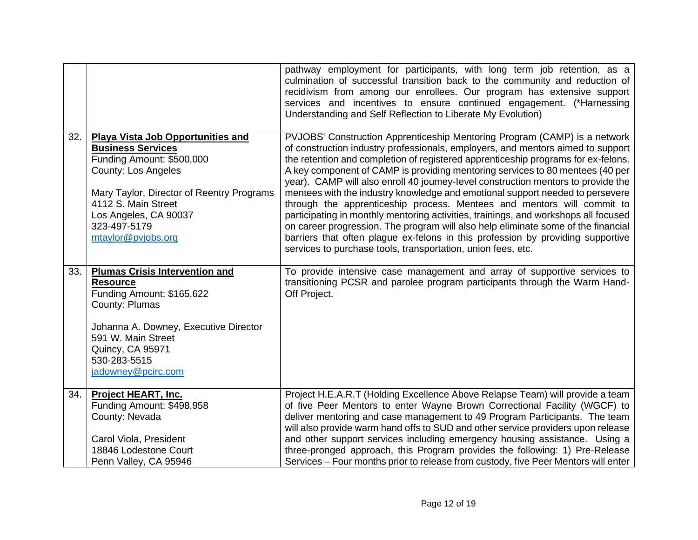|     |                                                                                                                                 | pathway employment for participants, with long term job retention, as a<br>culmination of successful transition back to the community and reduction of<br>recidivism from among our enrollees. Our program has extensive support<br>services and incentives to ensure continued engagement. (*Harnessing<br>Understanding and Self Reflection to Liberate My Evolution)                                                                                                                |
|-----|---------------------------------------------------------------------------------------------------------------------------------|----------------------------------------------------------------------------------------------------------------------------------------------------------------------------------------------------------------------------------------------------------------------------------------------------------------------------------------------------------------------------------------------------------------------------------------------------------------------------------------|
| 32. | <b>Playa Vista Job Opportunities and</b><br><b>Business Services</b><br>Funding Amount: \$500,000<br><b>County: Los Angeles</b> | PVJOBS' Construction Apprenticeship Mentoring Program (CAMP) is a network<br>of construction industry professionals, employers, and mentors aimed to support<br>the retention and completion of registered apprenticeship programs for ex-felons.<br>A key component of CAMP is providing mentoring services to 80 mentees (40 per<br>year). CAMP will also enroll 40 joumey-level construction mentors to provide the                                                                 |
|     | Mary Taylor, Director of Reentry Programs<br>4112 S. Main Street<br>Los Angeles, CA 90037<br>323-497-5179<br>mtaylor@pvjobs.org | mentees with the industry knowledge and emotional support needed to persevere<br>through the apprenticeship process. Mentees and mentors will commit to<br>participating in monthly mentoring activities, trainings, and workshops all focused<br>on career progression. The program will also help eliminate some of the financial<br>barriers that often plague ex-felons in this profession by providing supportive<br>services to purchase tools, transportation, union fees, etc. |
| 33. | <b>Plumas Crisis Intervention and</b><br><b>Resource</b><br>Funding Amount: \$165,622<br>County: Plumas                         | To provide intensive case management and array of supportive services to<br>transitioning PCSR and parolee program participants through the Warm Hand-<br>Off Project.                                                                                                                                                                                                                                                                                                                 |
|     | Johanna A. Downey, Executive Director<br>591 W. Main Street<br>Quincy, CA 95971<br>530-283-5515<br>jadowney@pcirc.com           |                                                                                                                                                                                                                                                                                                                                                                                                                                                                                        |
| 34. | <b>Project HEART, Inc.</b><br>Funding Amount: \$498,958<br>County: Nevada<br>Carol Viola, President                             | Project H.E.A.R.T (Holding Excellence Above Relapse Team) will provide a team<br>of five Peer Mentors to enter Wayne Brown Correctional Facility (WGCF) to<br>deliver mentoring and case management to 49 Program Participants. The team<br>will also provide warm hand offs to SUD and other service providers upon release<br>and other support services including emergency housing assistance. Using a                                                                             |
|     | 18846 Lodestone Court<br>Penn Valley, CA 95946                                                                                  | three-pronged approach, this Program provides the following: 1) Pre-Release<br>Services - Four months prior to release from custody, five Peer Mentors will enter                                                                                                                                                                                                                                                                                                                      |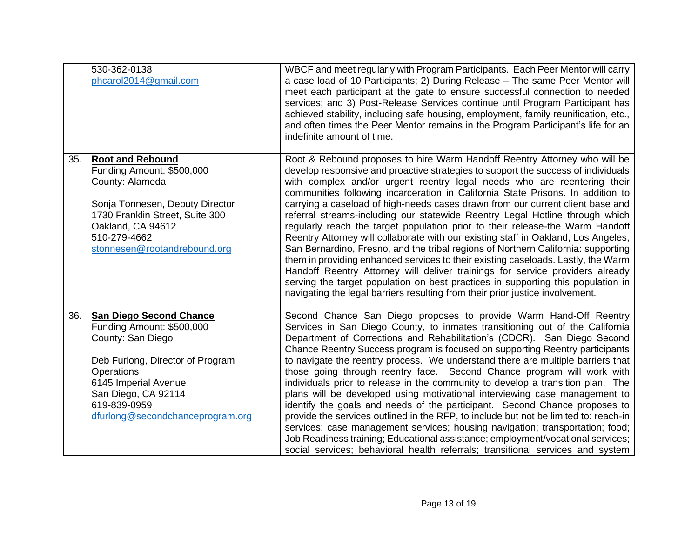|     | 530-362-0138<br>phcarol2014@gmail.com                                                                                                                                                                                                 | WBCF and meet regularly with Program Participants. Each Peer Mentor will carry<br>a case load of 10 Participants; 2) During Release - The same Peer Mentor will<br>meet each participant at the gate to ensure successful connection to needed<br>services; and 3) Post-Release Services continue until Program Participant has<br>achieved stability, including safe housing, employment, family reunification, etc.,<br>and often times the Peer Mentor remains in the Program Participant's life for an<br>indefinite amount of time.                                                                                                                                                                                                                                                                                                                                                                                                                                                                                                                                                              |
|-----|---------------------------------------------------------------------------------------------------------------------------------------------------------------------------------------------------------------------------------------|-------------------------------------------------------------------------------------------------------------------------------------------------------------------------------------------------------------------------------------------------------------------------------------------------------------------------------------------------------------------------------------------------------------------------------------------------------------------------------------------------------------------------------------------------------------------------------------------------------------------------------------------------------------------------------------------------------------------------------------------------------------------------------------------------------------------------------------------------------------------------------------------------------------------------------------------------------------------------------------------------------------------------------------------------------------------------------------------------------|
| 35. | <b>Root and Rebound</b><br>Funding Amount: \$500,000<br>County: Alameda<br>Sonja Tonnesen, Deputy Director<br>1730 Franklin Street, Suite 300<br>Oakland, CA 94612<br>510-279-4662<br>stonnesen@rootandrebound.org                    | Root & Rebound proposes to hire Warm Handoff Reentry Attorney who will be<br>develop responsive and proactive strategies to support the success of individuals<br>with complex and/or urgent reentry legal needs who are reentering their<br>communities following incarceration in California State Prisons. In addition to<br>carrying a caseload of high-needs cases drawn from our current client base and<br>referral streams-including our statewide Reentry Legal Hotline through which<br>regularly reach the target population prior to their release-the Warm Handoff<br>Reentry Attorney will collaborate with our existing staff in Oakland, Los Angeles,<br>San Bernardino, Fresno, and the tribal regions of Northern California: supporting<br>them in providing enhanced services to their existing caseloads. Lastly, the Warm<br>Handoff Reentry Attorney will deliver trainings for service providers already<br>serving the target population on best practices in supporting this population in<br>navigating the legal barriers resulting from their prior justice involvement. |
| 36. | <b>San Diego Second Chance</b><br>Funding Amount: \$500,000<br>County: San Diego<br>Deb Furlong, Director of Program<br>Operations<br>6145 Imperial Avenue<br>San Diego, CA 92114<br>619-839-0959<br>dfurlong@secondchanceprogram.org | Second Chance San Diego proposes to provide Warm Hand-Off Reentry<br>Services in San Diego County, to inmates transitioning out of the California<br>Department of Corrections and Rehabilitation's (CDCR). San Diego Second<br>Chance Reentry Success program is focused on supporting Reentry participants<br>to navigate the reentry process. We understand there are multiple barriers that<br>those going through reentry face. Second Chance program will work with<br>individuals prior to release in the community to develop a transition plan. The<br>plans will be developed using motivational interviewing case management to<br>identify the goals and needs of the participant. Second Chance proposes to<br>provide the services outlined in the RFP, to include but not be limited to: reach-in<br>services; case management services; housing navigation; transportation; food;<br>Job Readiness training; Educational assistance; employment/vocational services;<br>social services; behavioral health referrals; transitional services and system                                |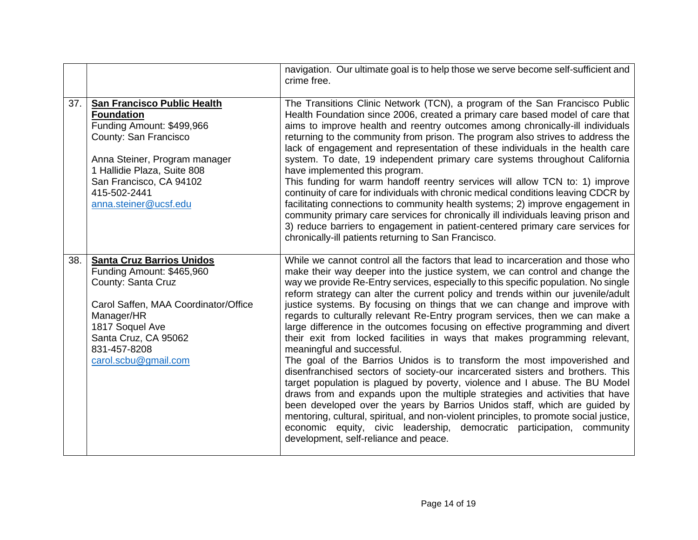|     |                                                                                                                                                                                                                                                   | navigation. Our ultimate goal is to help those we serve become self-sufficient and<br>crime free.                                                                                                                                                                                                                                                                                                                                                                                                                                                                                                                                                                                                                                                                                                                                                                                                                                                                                                                                                                                                                                                                                                                                                                                                                               |
|-----|---------------------------------------------------------------------------------------------------------------------------------------------------------------------------------------------------------------------------------------------------|---------------------------------------------------------------------------------------------------------------------------------------------------------------------------------------------------------------------------------------------------------------------------------------------------------------------------------------------------------------------------------------------------------------------------------------------------------------------------------------------------------------------------------------------------------------------------------------------------------------------------------------------------------------------------------------------------------------------------------------------------------------------------------------------------------------------------------------------------------------------------------------------------------------------------------------------------------------------------------------------------------------------------------------------------------------------------------------------------------------------------------------------------------------------------------------------------------------------------------------------------------------------------------------------------------------------------------|
| 37. | <b>San Francisco Public Health</b><br><b>Foundation</b><br>Funding Amount: \$499,966<br>County: San Francisco<br>Anna Steiner, Program manager<br>1 Hallidie Plaza, Suite 808<br>San Francisco, CA 94102<br>415-502-2441<br>anna.steiner@ucsf.edu | The Transitions Clinic Network (TCN), a program of the San Francisco Public<br>Health Foundation since 2006, created a primary care based model of care that<br>aims to improve health and reentry outcomes among chronically-ill individuals<br>returning to the community from prison. The program also strives to address the<br>lack of engagement and representation of these individuals in the health care<br>system. To date, 19 independent primary care systems throughout California<br>have implemented this program.<br>This funding for warm handoff reentry services will allow TCN to: 1) improve<br>continuity of care for individuals with chronic medical conditions leaving CDCR by<br>facilitating connections to community health systems; 2) improve engagement in<br>community primary care services for chronically ill individuals leaving prison and<br>3) reduce barriers to engagement in patient-centered primary care services for<br>chronically-ill patients returning to San Francisco.                                                                                                                                                                                                                                                                                                       |
| 38. | <b>Santa Cruz Barrios Unidos</b><br>Funding Amount: \$465,960<br>County: Santa Cruz<br>Carol Saffen, MAA Coordinator/Office<br>Manager/HR<br>1817 Soquel Ave<br>Santa Cruz, CA 95062<br>831-457-8208<br>carol.scbu@gmail.com                      | While we cannot control all the factors that lead to incarceration and those who<br>make their way deeper into the justice system, we can control and change the<br>way we provide Re-Entry services, especially to this specific population. No single<br>reform strategy can alter the current policy and trends within our juvenile/adult<br>justice systems. By focusing on things that we can change and improve with<br>regards to culturally relevant Re-Entry program services, then we can make a<br>large difference in the outcomes focusing on effective programming and divert<br>their exit from locked facilities in ways that makes programming relevant,<br>meaningful and successful.<br>The goal of the Barrios Unidos is to transform the most impoverished and<br>disenfranchised sectors of society-our incarcerated sisters and brothers. This<br>target population is plagued by poverty, violence and I abuse. The BU Model<br>draws from and expands upon the multiple strategies and activities that have<br>been developed over the years by Barrios Unidos staff, which are guided by<br>mentoring, cultural, spiritual, and non-violent principles, to promote social justice,<br>economic equity, civic leadership, democratic participation, community<br>development, self-reliance and peace. |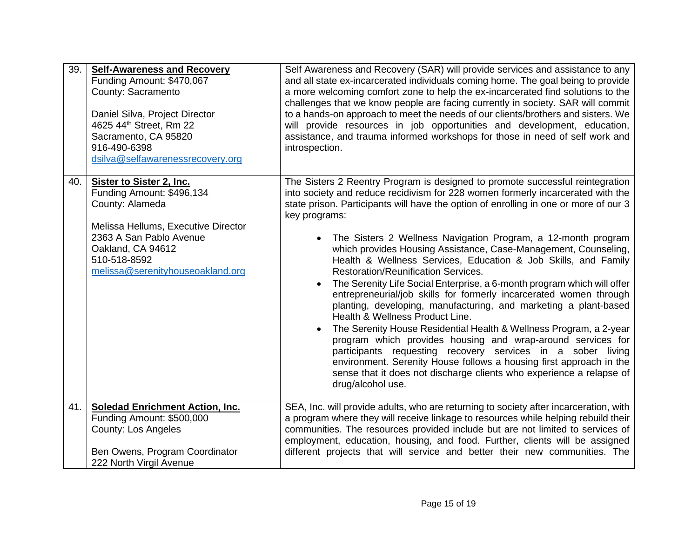| 39. | <b>Self-Awareness and Recovery</b><br>Funding Amount: \$470,067<br>County: Sacramento<br>Daniel Silva, Project Director<br>4625 44th Street, Rm 22<br>Sacramento, CA 95820<br>916-490-6398<br>dsilva@selfawarenessrecovery.org | Self Awareness and Recovery (SAR) will provide services and assistance to any<br>and all state ex-incarcerated individuals coming home. The goal being to provide<br>a more welcoming comfort zone to help the ex-incarcerated find solutions to the<br>challenges that we know people are facing currently in society. SAR will commit<br>to a hands-on approach to meet the needs of our clients/brothers and sisters. We<br>will provide resources in job opportunities and development, education,<br>assistance, and trauma informed workshops for those in need of self work and<br>introspection.                                                                                                                                                                                                                                                                                                                                                                                                                                                                                                                                                                                |
|-----|--------------------------------------------------------------------------------------------------------------------------------------------------------------------------------------------------------------------------------|-----------------------------------------------------------------------------------------------------------------------------------------------------------------------------------------------------------------------------------------------------------------------------------------------------------------------------------------------------------------------------------------------------------------------------------------------------------------------------------------------------------------------------------------------------------------------------------------------------------------------------------------------------------------------------------------------------------------------------------------------------------------------------------------------------------------------------------------------------------------------------------------------------------------------------------------------------------------------------------------------------------------------------------------------------------------------------------------------------------------------------------------------------------------------------------------|
| 40. | Sister to Sister 2, Inc.<br>Funding Amount: \$496,134<br>County: Alameda<br>Melissa Hellums, Executive Director<br>2363 A San Pablo Avenue<br>Oakland, CA 94612<br>510-518-8592<br>melissa@serenityhouseoakland.org            | The Sisters 2 Reentry Program is designed to promote successful reintegration<br>into society and reduce recidivism for 228 women formerly incarcerated with the<br>state prison. Participants will have the option of enrolling in one or more of our 3<br>key programs:<br>The Sisters 2 Wellness Navigation Program, a 12-month program<br>$\bullet$<br>which provides Housing Assistance, Case-Management, Counseling,<br>Health & Wellness Services, Education & Job Skills, and Family<br><b>Restoration/Reunification Services.</b><br>The Serenity Life Social Enterprise, a 6-month program which will offer<br>$\bullet$<br>entrepreneurial/job skills for formerly incarcerated women through<br>planting, developing, manufacturing, and marketing a plant-based<br>Health & Wellness Product Line.<br>The Serenity House Residential Health & Wellness Program, a 2-year<br>program which provides housing and wrap-around services for<br>participants requesting recovery services in a sober living<br>environment. Serenity House follows a housing first approach in the<br>sense that it does not discharge clients who experience a relapse of<br>drug/alcohol use. |
| 41. | <b>Soledad Enrichment Action, Inc.</b><br>Funding Amount: \$500,000<br><b>County: Los Angeles</b><br>Ben Owens, Program Coordinator<br>222 North Virgil Avenue                                                                 | SEA, Inc. will provide adults, who are returning to society after incarceration, with<br>a program where they will receive linkage to resources while helping rebuild their<br>communities. The resources provided include but are not limited to services of<br>employment, education, housing, and food. Further, clients will be assigned<br>different projects that will service and better their new communities. The                                                                                                                                                                                                                                                                                                                                                                                                                                                                                                                                                                                                                                                                                                                                                              |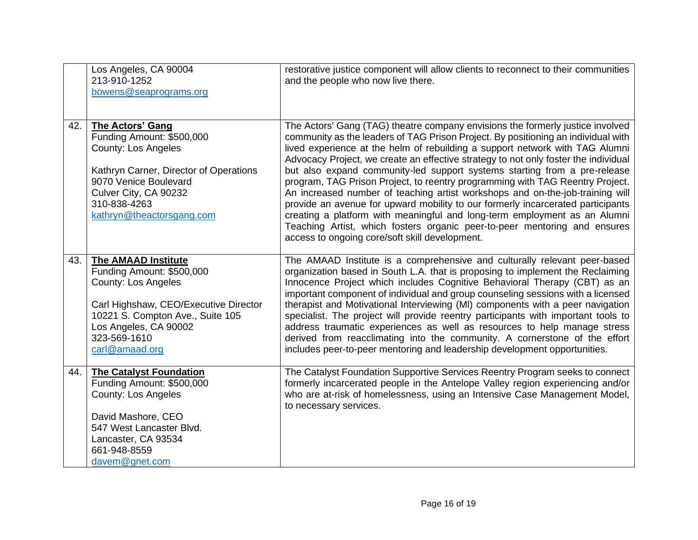|     | Los Angeles, CA 90004<br>213-910-1252<br>bowens@seaprograms.org                                                                                                                                                               | restorative justice component will allow clients to reconnect to their communities<br>and the people who now live there.                                                                                                                                                                                                                                                                                                                                                                                                                                                                                                                                                                                                                                                                                                                                                                 |
|-----|-------------------------------------------------------------------------------------------------------------------------------------------------------------------------------------------------------------------------------|------------------------------------------------------------------------------------------------------------------------------------------------------------------------------------------------------------------------------------------------------------------------------------------------------------------------------------------------------------------------------------------------------------------------------------------------------------------------------------------------------------------------------------------------------------------------------------------------------------------------------------------------------------------------------------------------------------------------------------------------------------------------------------------------------------------------------------------------------------------------------------------|
| 42. | The Actors' Gang<br>Funding Amount: \$500,000<br>County: Los Angeles<br>Kathryn Carner, Director of Operations<br>9070 Venice Boulevard<br>Culver City, CA 90232<br>310-838-4263<br>kathryn@theactorsgang.com                 | The Actors' Gang (TAG) theatre company envisions the formerly justice involved<br>community as the leaders of TAG Prison Project. By positioning an individual with<br>lived experience at the helm of rebuilding a support network with TAG Alumni<br>Advocacy Project, we create an effective strategy to not only foster the individual<br>but also expand community-led support systems starting from a pre-release<br>program, TAG Prison Project, to reentry programming with TAG Reentry Project.<br>An increased number of teaching artist workshops and on-the-job-training will<br>provide an avenue for upward mobility to our formerly incarcerated participants<br>creating a platform with meaningful and long-term employment as an Alumni<br>Teaching Artist, which fosters organic peer-to-peer mentoring and ensures<br>access to ongoing core/soft skill development. |
| 43. | <b>The AMAAD Institute</b><br>Funding Amount: \$500,000<br><b>County: Los Angeles</b><br>Carl Highshaw, CEO/Executive Director<br>10221 S. Compton Ave., Suite 105<br>Los Angeles, CA 90002<br>323-569-1610<br>carl@amaad.org | The AMAAD Institute is a comprehensive and culturally relevant peer-based<br>organization based in South L.A. that is proposing to implement the Reclaiming<br>Innocence Project which includes Cognitive Behavioral Therapy (CBT) as an<br>important component of individual and group counseling sessions with a licensed<br>therapist and Motivational Interviewing (MI) components with a peer navigation<br>specialist. The project will provide reentry participants with important tools to<br>address traumatic experiences as well as resources to help manage stress<br>derived from reacclimating into the community. A cornerstone of the effort<br>includes peer-to-peer mentoring and leadership development opportunities.                                                                                                                                                |
| 44. | <b>The Catalyst Foundation</b><br>Funding Amount: \$500,000<br><b>County: Los Angeles</b><br>David Mashore, CEO<br>547 West Lancaster Blvd.<br>Lancaster, CA 93534<br>661-948-8559<br>davem@gnet.com                          | The Catalyst Foundation Supportive Services Reentry Program seeks to connect<br>formerly incarcerated people in the Antelope Valley region experiencing and/or<br>who are at-risk of homelessness, using an Intensive Case Management Model,<br>to necessary services.                                                                                                                                                                                                                                                                                                                                                                                                                                                                                                                                                                                                                   |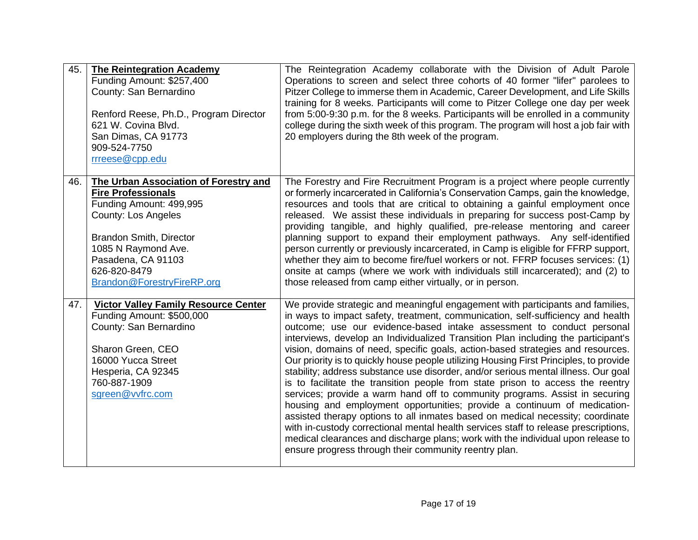| 45. | <b>The Reintegration Academy</b><br>Funding Amount: \$257,400<br>County: San Bernardino<br>Renford Reese, Ph.D., Program Director<br>621 W. Covina Blvd.<br>San Dimas, CA 91773<br>909-524-7750<br>rrreese@cpp.edu                                       | The Reintegration Academy collaborate with the Division of Adult Parole<br>Operations to screen and select three cohorts of 40 former "lifer" parolees to<br>Pitzer College to immerse them in Academic, Career Development, and Life Skills<br>training for 8 weeks. Participants will come to Pitzer College one day per week<br>from 5:00-9:30 p.m. for the 8 weeks. Participants will be enrolled in a community<br>college during the sixth week of this program. The program will host a job fair with<br>20 employers during the 8th week of the program.                                                                                                                                                                                                                                                                                                                                                                                                                                                                                                                                                                                                      |
|-----|----------------------------------------------------------------------------------------------------------------------------------------------------------------------------------------------------------------------------------------------------------|-----------------------------------------------------------------------------------------------------------------------------------------------------------------------------------------------------------------------------------------------------------------------------------------------------------------------------------------------------------------------------------------------------------------------------------------------------------------------------------------------------------------------------------------------------------------------------------------------------------------------------------------------------------------------------------------------------------------------------------------------------------------------------------------------------------------------------------------------------------------------------------------------------------------------------------------------------------------------------------------------------------------------------------------------------------------------------------------------------------------------------------------------------------------------|
| 46. | The Urban Association of Forestry and<br><b>Fire Professionals</b><br>Funding Amount: 499,995<br><b>County: Los Angeles</b><br><b>Brandon Smith, Director</b><br>1085 N Raymond Ave.<br>Pasadena, CA 91103<br>626-820-8479<br>Brandon@ForestryFireRP.org | The Forestry and Fire Recruitment Program is a project where people currently<br>or formerly incarcerated in California's Conservation Camps, gain the knowledge,<br>resources and tools that are critical to obtaining a gainful employment once<br>released. We assist these individuals in preparing for success post-Camp by<br>providing tangible, and highly qualified, pre-release mentoring and career<br>planning support to expand their employment pathways. Any self-identified<br>person currently or previously incarcerated, in Camp is eligible for FFRP support,<br>whether they aim to become fire/fuel workers or not. FFRP focuses services: (1)<br>onsite at camps (where we work with individuals still incarcerated); and (2) to<br>those released from camp either virtually, or in person.                                                                                                                                                                                                                                                                                                                                                   |
| 47. | <b>Victor Valley Family Resource Center</b><br>Funding Amount: \$500,000<br>County: San Bernardino<br>Sharon Green, CEO<br>16000 Yucca Street<br>Hesperia, CA 92345<br>760-887-1909<br>sgreen@vvfrc.com                                                  | We provide strategic and meaningful engagement with participants and families,<br>in ways to impact safety, treatment, communication, self-sufficiency and health<br>outcome; use our evidence-based intake assessment to conduct personal<br>interviews, develop an Individualized Transition Plan including the participant's<br>vision, domains of need, specific goals, action-based strategies and resources.<br>Our priority is to quickly house people utilizing Housing First Principles, to provide<br>stability; address substance use disorder, and/or serious mental illness. Our goal<br>is to facilitate the transition people from state prison to access the reentry<br>services; provide a warm hand off to community programs. Assist in securing<br>housing and employment opportunities; provide a continuum of medication-<br>assisted therapy options to all inmates based on medical necessity; coordinate<br>with in-custody correctional mental health services staff to release prescriptions,<br>medical clearances and discharge plans; work with the individual upon release to<br>ensure progress through their community reentry plan. |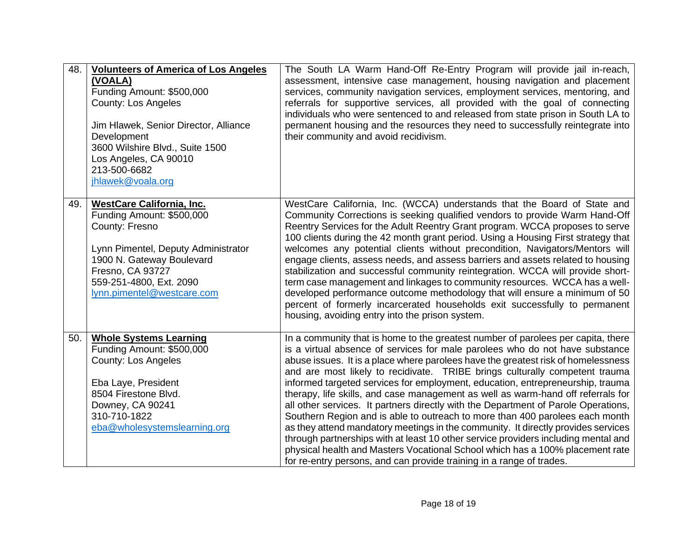| 48. | <b>Volunteers of America of Los Angeles</b><br>(VOALA)<br>Funding Amount: \$500,000<br><b>County: Los Angeles</b><br>Jim Hlawek, Senior Director, Alliance<br>Development<br>3600 Wilshire Blvd., Suite 1500<br>Los Angeles, CA 90010<br>213-500-6682<br>jhlawek@voala.org | The South LA Warm Hand-Off Re-Entry Program will provide jail in-reach,<br>assessment, intensive case management, housing navigation and placement<br>services, community navigation services, employment services, mentoring, and<br>referrals for supportive services, all provided with the goal of connecting<br>individuals who were sentenced to and released from state prison in South LA to<br>permanent housing and the resources they need to successfully reintegrate into<br>their community and avoid recidivism.                                                                                                                                                                                                                                                                                                                                                                                                                                                                                      |
|-----|----------------------------------------------------------------------------------------------------------------------------------------------------------------------------------------------------------------------------------------------------------------------------|----------------------------------------------------------------------------------------------------------------------------------------------------------------------------------------------------------------------------------------------------------------------------------------------------------------------------------------------------------------------------------------------------------------------------------------------------------------------------------------------------------------------------------------------------------------------------------------------------------------------------------------------------------------------------------------------------------------------------------------------------------------------------------------------------------------------------------------------------------------------------------------------------------------------------------------------------------------------------------------------------------------------|
| 49. | <b>WestCare California, Inc.</b><br>Funding Amount: \$500,000<br>County: Fresno<br>Lynn Pimentel, Deputy Administrator<br>1900 N. Gateway Boulevard<br>Fresno, CA 93727<br>559-251-4800, Ext. 2090<br>lynn.pimentel@westcare.com                                           | WestCare California, Inc. (WCCA) understands that the Board of State and<br>Community Corrections is seeking qualified vendors to provide Warm Hand-Off<br>Reentry Services for the Adult Reentry Grant program. WCCA proposes to serve<br>100 clients during the 42 month grant period. Using a Housing First strategy that<br>welcomes any potential clients without precondition, Navigators/Mentors will<br>engage clients, assess needs, and assess barriers and assets related to housing<br>stabilization and successful community reintegration. WCCA will provide short-<br>term case management and linkages to community resources. WCCA has a well-<br>developed performance outcome methodology that will ensure a minimum of 50<br>percent of formerly incarcerated households exit successfully to permanent<br>housing, avoiding entry into the prison system.                                                                                                                                       |
| 50. | <b>Whole Systems Learning</b><br>Funding Amount: \$500,000<br><b>County: Los Angeles</b><br>Eba Laye, President<br>8504 Firestone Blvd.<br>Downey, CA 90241<br>310-710-1822<br>eba@wholesystemslearning.org                                                                | In a community that is home to the greatest number of parolees per capita, there<br>is a virtual absence of services for male parolees who do not have substance<br>abuse issues. It is a place where parolees have the greatest risk of homelessness<br>and are most likely to recidivate. TRIBE brings culturally competent trauma<br>informed targeted services for employment, education, entrepreneurship, trauma<br>therapy, life skills, and case management as well as warm-hand off referrals for<br>all other services. It partners directly with the Department of Parole Operations,<br>Southern Region and is able to outreach to more than 400 parolees each month<br>as they attend mandatory meetings in the community. It directly provides services<br>through partnerships with at least 10 other service providers including mental and<br>physical health and Masters Vocational School which has a 100% placement rate<br>for re-entry persons, and can provide training in a range of trades. |